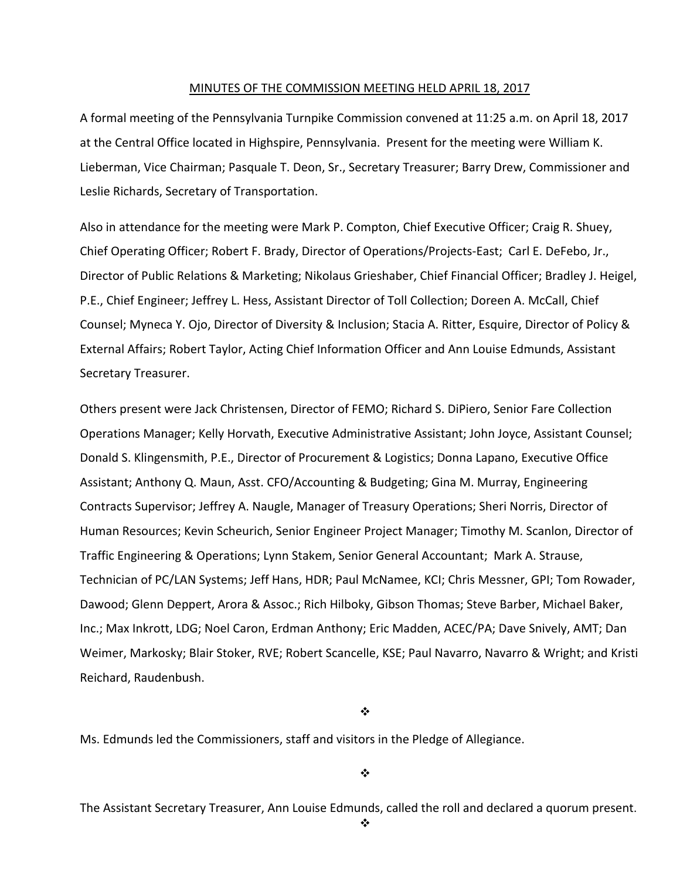#### MINUTES OF THE COMMISSION MEETING HELD APRIL 18, 2017

A formal meeting of the Pennsylvania Turnpike Commission convened at 11:25 a.m. on April 18, 2017 at the Central Office located in Highspire, Pennsylvania. Present for the meeting were William K. Lieberman, Vice Chairman; Pasquale T. Deon, Sr., Secretary Treasurer; Barry Drew, Commissioner and Leslie Richards, Secretary of Transportation.

Also in attendance for the meeting were Mark P. Compton, Chief Executive Officer; Craig R. Shuey, Chief Operating Officer; Robert F. Brady, Director of Operations/Projects‐East; Carl E. DeFebo, Jr., Director of Public Relations & Marketing; Nikolaus Grieshaber, Chief Financial Officer; Bradley J. Heigel, P.E., Chief Engineer; Jeffrey L. Hess, Assistant Director of Toll Collection; Doreen A. McCall, Chief Counsel; Myneca Y. Ojo, Director of Diversity & Inclusion; Stacia A. Ritter, Esquire, Director of Policy & External Affairs; Robert Taylor, Acting Chief Information Officer and Ann Louise Edmunds, Assistant Secretary Treasurer.

Others present were Jack Christensen, Director of FEMO; Richard S. DiPiero, Senior Fare Collection Operations Manager; Kelly Horvath, Executive Administrative Assistant; John Joyce, Assistant Counsel; Donald S. Klingensmith, P.E., Director of Procurement & Logistics; Donna Lapano, Executive Office Assistant; Anthony Q. Maun, Asst. CFO/Accounting & Budgeting; Gina M. Murray, Engineering Contracts Supervisor; Jeffrey A. Naugle, Manager of Treasury Operations; Sheri Norris, Director of Human Resources; Kevin Scheurich, Senior Engineer Project Manager; Timothy M. Scanlon, Director of Traffic Engineering & Operations; Lynn Stakem, Senior General Accountant; Mark A. Strause, Technician of PC/LAN Systems; Jeff Hans, HDR; Paul McNamee, KCI; Chris Messner, GPI; Tom Rowader, Dawood; Glenn Deppert, Arora & Assoc.; Rich Hilboky, Gibson Thomas; Steve Barber, Michael Baker, Inc.; Max Inkrott, LDG; Noel Caron, Erdman Anthony; Eric Madden, ACEC/PA; Dave Snively, AMT; Dan Weimer, Markosky; Blair Stoker, RVE; Robert Scancelle, KSE; Paul Navarro, Navarro & Wright; and Kristi Reichard, Raudenbush.

❖

Ms. Edmunds led the Commissioners, staff and visitors in the Pledge of Allegiance.

 $\ddot{\cdot}$ 

The Assistant Secretary Treasurer, Ann Louise Edmunds, called the roll and declared a quorum present.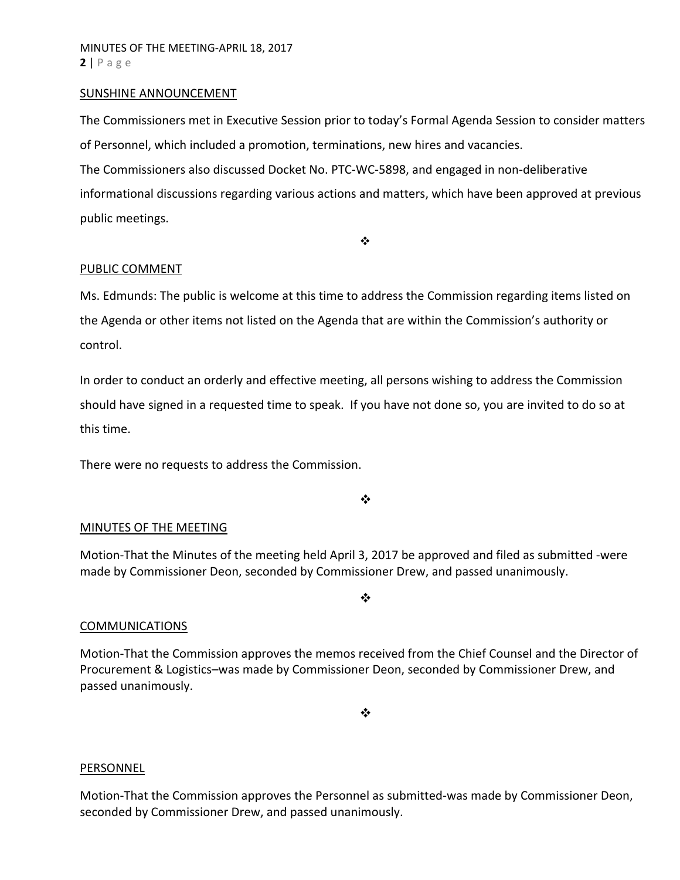#### SUNSHINE ANNOUNCEMENT

The Commissioners met in Executive Session prior to today's Formal Agenda Session to consider matters of Personnel, which included a promotion, terminations, new hires and vacancies. The Commissioners also discussed Docket No. PTC‐WC‐5898, and engaged in non‐deliberative informational discussions regarding various actions and matters, which have been approved at previous public meetings.

 $\bullet^{\bullet}_{\bullet} \bullet$ 

#### PUBLIC COMMENT

Ms. Edmunds: The public is welcome at this time to address the Commission regarding items listed on the Agenda or other items not listed on the Agenda that are within the Commission's authority or control.

In order to conduct an orderly and effective meeting, all persons wishing to address the Commission should have signed in a requested time to speak. If you have not done so, you are invited to do so at this time.

There were no requests to address the Commission.

 $\frac{1}{2}$ 

#### MINUTES OF THE MEETING

Motion‐That the Minutes of the meeting held April 3, 2017 be approved and filed as submitted ‐were made by Commissioner Deon, seconded by Commissioner Drew, and passed unanimously.

❖

#### COMMUNICATIONS

Motion‐That the Commission approves the memos received from the Chief Counsel and the Director of Procurement & Logistics–was made by Commissioner Deon, seconded by Commissioner Drew, and passed unanimously.

❖

#### **PERSONNEL**

Motion‐That the Commission approves the Personnel as submitted‐was made by Commissioner Deon, seconded by Commissioner Drew, and passed unanimously.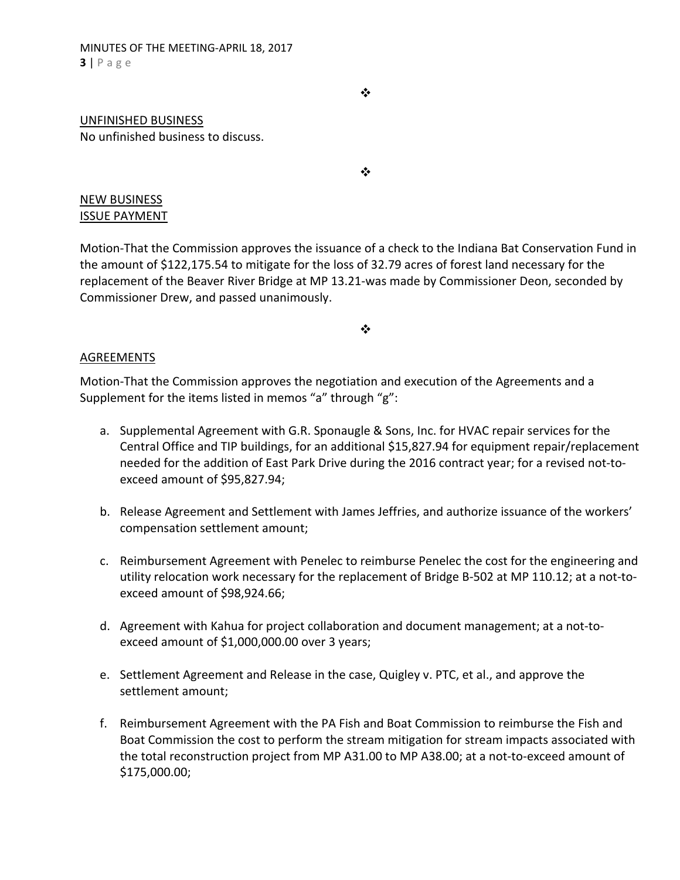❖

## UNFINISHED BUSINESS No unfinished business to discuss.

❖

# NEW BUSINESS ISSUE PAYMENT

Motion‐That the Commission approves the issuance of a check to the Indiana Bat Conservation Fund in the amount of \$122,175.54 to mitigate for the loss of 32.79 acres of forest land necessary for the replacement of the Beaver River Bridge at MP 13.21‐was made by Commissioner Deon, seconded by Commissioner Drew, and passed unanimously.

 $\frac{1}{2}$ 

# AGREEMENTS

Motion‐That the Commission approves the negotiation and execution of the Agreements and a Supplement for the items listed in memos "a" through "g":

- a. Supplemental Agreement with G.R. Sponaugle & Sons, Inc. for HVAC repair services for the Central Office and TIP buildings, for an additional \$15,827.94 for equipment repair/replacement needed for the addition of East Park Drive during the 2016 contract year; for a revised not‐to‐ exceed amount of \$95,827.94;
- b. Release Agreement and Settlement with James Jeffries, and authorize issuance of the workers' compensation settlement amount;
- c. Reimbursement Agreement with Penelec to reimburse Penelec the cost for the engineering and utility relocation work necessary for the replacement of Bridge B‐502 at MP 110.12; at a not‐to‐ exceed amount of \$98,924.66;
- d. Agreement with Kahua for project collaboration and document management; at a not‐to‐ exceed amount of \$1,000,000.00 over 3 years;
- e. Settlement Agreement and Release in the case, Quigley v. PTC, et al., and approve the settlement amount;
- f. Reimbursement Agreement with the PA Fish and Boat Commission to reimburse the Fish and Boat Commission the cost to perform the stream mitigation for stream impacts associated with the total reconstruction project from MP A31.00 to MP A38.00; at a not‐to‐exceed amount of \$175,000.00;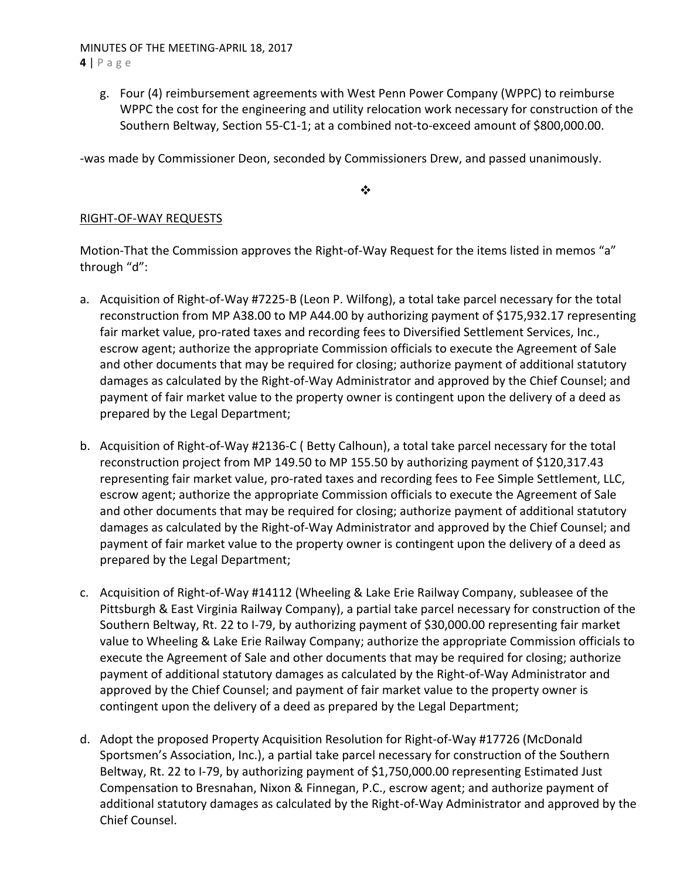### MINUTES OF THE MEETING‐APRIL 18, 2017 **4** | Page

g. Four (4) reimbursement agreements with West Penn Power Company (WPPC) to reimburse WPPC the cost for the engineering and utility relocation work necessary for construction of the Southern Beltway, Section 55‐C1‐1; at a combined not‐to‐exceed amount of \$800,000.00.

‐was made by Commissioner Deon, seconded by Commissioners Drew, and passed unanimously.

 $\frac{1}{2}$ 

# RIGHT‐OF‐WAY REQUESTS

Motion-That the Commission approves the Right-of-Way Request for the items listed in memos "a" through "d":

- a. Acquisition of Right-of-Way #7225-B (Leon P. Wilfong), a total take parcel necessary for the total reconstruction from MP A38.00 to MP A44.00 by authorizing payment of \$175,932.17 representing fair market value, pro-rated taxes and recording fees to Diversified Settlement Services, Inc., escrow agent; authorize the appropriate Commission officials to execute the Agreement of Sale and other documents that may be required for closing; authorize payment of additional statutory damages as calculated by the Right‐of‐Way Administrator and approved by the Chief Counsel; and payment of fair market value to the property owner is contingent upon the delivery of a deed as prepared by the Legal Department;
- b. Acquisition of Right‐of‐Way #2136‐C ( Betty Calhoun), a total take parcel necessary for the total reconstruction project from MP 149.50 to MP 155.50 by authorizing payment of \$120,317.43 representing fair market value, pro‐rated taxes and recording fees to Fee Simple Settlement, LLC, escrow agent; authorize the appropriate Commission officials to execute the Agreement of Sale and other documents that may be required for closing; authorize payment of additional statutory damages as calculated by the Right‐of‐Way Administrator and approved by the Chief Counsel; and payment of fair market value to the property owner is contingent upon the delivery of a deed as prepared by the Legal Department;
- c. Acquisition of Right‐of‐Way #14112 (Wheeling & Lake Erie Railway Company, subleasee of the Pittsburgh & East Virginia Railway Company), a partial take parcel necessary for construction of the Southern Beltway, Rt. 22 to I‐79, by authorizing payment of \$30,000.00 representing fair market value to Wheeling & Lake Erie Railway Company; authorize the appropriate Commission officials to execute the Agreement of Sale and other documents that may be required for closing; authorize payment of additional statutory damages as calculated by the Right‐of‐Way Administrator and approved by the Chief Counsel; and payment of fair market value to the property owner is contingent upon the delivery of a deed as prepared by the Legal Department;
- d. Adopt the proposed Property Acquisition Resolution for Right‐of‐Way #17726 (McDonald Sportsmen's Association, Inc.), a partial take parcel necessary for construction of the Southern Beltway, Rt. 22 to I-79, by authorizing payment of \$1,750,000.00 representing Estimated Just Compensation to Bresnahan, Nixon & Finnegan, P.C., escrow agent; and authorize payment of additional statutory damages as calculated by the Right‐of‐Way Administrator and approved by the Chief Counsel.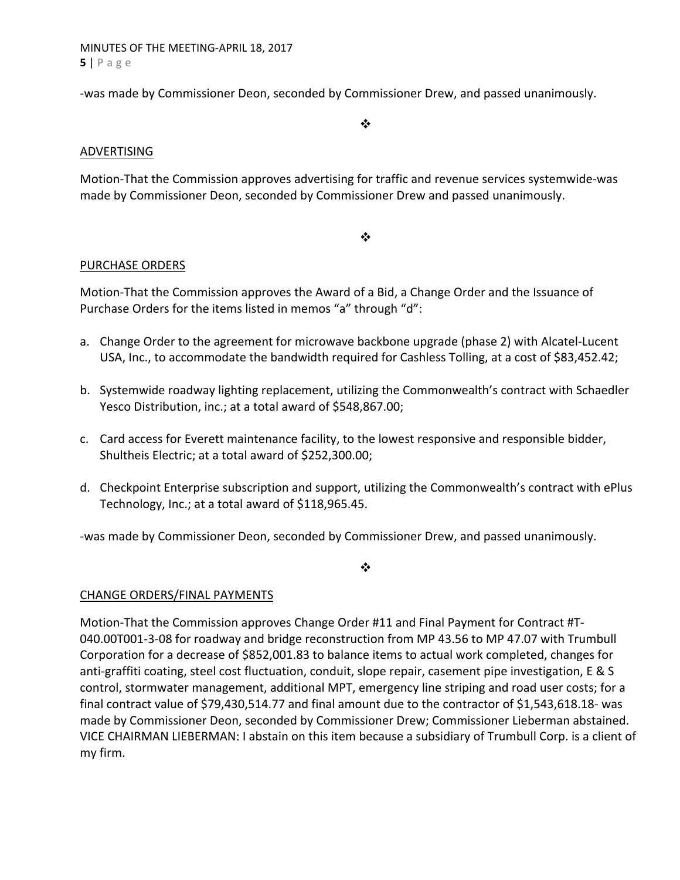MINUTES OF THE MEETING‐APRIL 18, 2017 **5** | Page

‐was made by Commissioner Deon, seconded by Commissioner Drew, and passed unanimously.

 $\bullet^{\bullet}_{\bullet} \bullet$ 

## ADVERTISING

Motion‐That the Commission approves advertising for traffic and revenue services systemwide‐was made by Commissioner Deon, seconded by Commissioner Drew and passed unanimously.

### $\frac{1}{2}$

# PURCHASE ORDERS

Motion‐That the Commission approves the Award of a Bid, a Change Order and the Issuance of Purchase Orders for the items listed in memos "a" through "d":

- a. Change Order to the agreement for microwave backbone upgrade (phase 2) with Alcatel‐Lucent USA, Inc., to accommodate the bandwidth required for Cashless Tolling, at a cost of \$83,452.42;
- b. Systemwide roadway lighting replacement, utilizing the Commonwealth's contract with Schaedler Yesco Distribution, inc.; at a total award of \$548,867.00;
- c. Card access for Everett maintenance facility, to the lowest responsive and responsible bidder, Shultheis Electric; at a total award of \$252,300.00;
- d. Checkpoint Enterprise subscription and support, utilizing the Commonwealth's contract with ePlus Technology, Inc.; at a total award of \$118,965.45.

‐was made by Commissioner Deon, seconded by Commissioner Drew, and passed unanimously.

 $\frac{1}{2}$ 

# CHANGE ORDERS/FINAL PAYMENTS

Motion-That the Commission approves Change Order #11 and Final Payment for Contract #T-040.00T001‐3‐08 for roadway and bridge reconstruction from MP 43.56 to MP 47.07 with Trumbull Corporation for a decrease of \$852,001.83 to balance items to actual work completed, changes for anti-graffiti coating, steel cost fluctuation, conduit, slope repair, casement pipe investigation, E & S control, stormwater management, additional MPT, emergency line striping and road user costs; for a final contract value of \$79,430,514.77 and final amount due to the contractor of \$1,543,618.18‐ was made by Commissioner Deon, seconded by Commissioner Drew; Commissioner Lieberman abstained. VICE CHAIRMAN LIEBERMAN: I abstain on this item because a subsidiary of Trumbull Corp. is a client of my firm.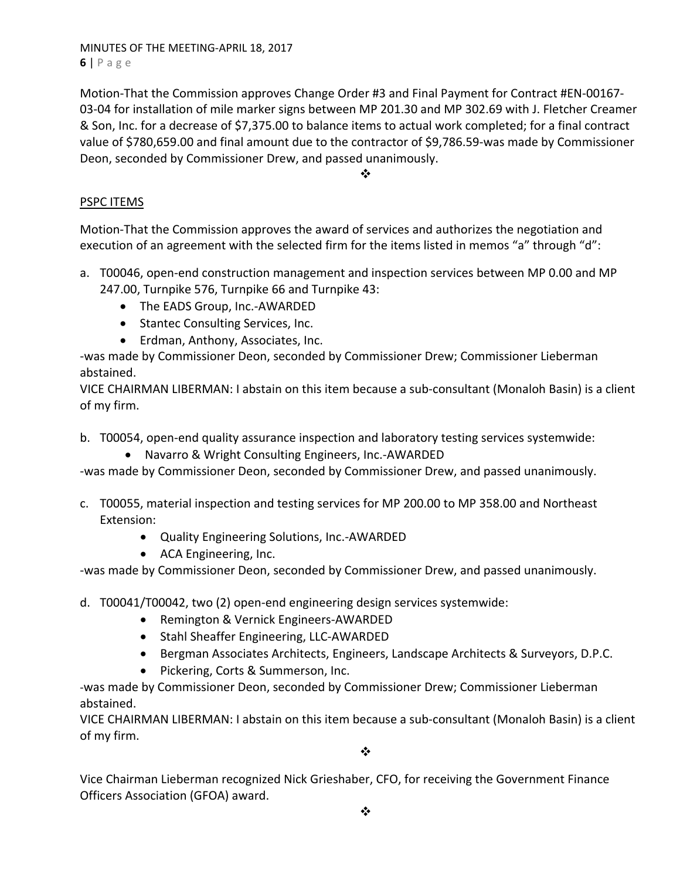MINUTES OF THE MEETING‐APRIL 18, 2017 **6** | Page

Motion‐That the Commission approves Change Order #3 and Final Payment for Contract #EN‐00167‐ 03‐04 for installation of mile marker signs between MP 201.30 and MP 302.69 with J. Fletcher Creamer & Son, Inc. for a decrease of \$7,375.00 to balance items to actual work completed; for a final contract value of \$780,659.00 and final amount due to the contractor of \$9,786.59‐was made by Commissioner Deon, seconded by Commissioner Drew, and passed unanimously.

**※ 200** 

# PSPC ITEMS

Motion‐That the Commission approves the award of services and authorizes the negotiation and execution of an agreement with the selected firm for the items listed in memos "a" through "d":

- a. T00046, open-end construction management and inspection services between MP 0.00 and MP 247.00, Turnpike 576, Turnpike 66 and Turnpike 43:
	- The EADS Group, Inc.-AWARDED
	- Stantec Consulting Services, Inc.
	- Erdman, Anthony, Associates, Inc.

‐was made by Commissioner Deon, seconded by Commissioner Drew; Commissioner Lieberman abstained.

VICE CHAIRMAN LIBERMAN: I abstain on this item because a sub‐consultant (Monaloh Basin) is a client of my firm.

- b. T00054, open-end quality assurance inspection and laboratory testing services systemwide:
	- Navarro & Wright Consulting Engineers, Inc.-AWARDED

‐was made by Commissioner Deon, seconded by Commissioner Drew, and passed unanimously.

- c. T00055, material inspection and testing services for MP 200.00 to MP 358.00 and Northeast Extension:
	- Quality Engineering Solutions, Inc.-AWARDED
	- ACA Engineering, Inc.

‐was made by Commissioner Deon, seconded by Commissioner Drew, and passed unanimously.

- d. T00041/T00042, two (2) open‐end engineering design services systemwide:
	- Remington & Vernick Engineers-AWARDED
	- Stahl Sheaffer Engineering, LLC-AWARDED
	- Bergman Associates Architects, Engineers, Landscape Architects & Surveyors, D.P.C.
	- Pickering, Corts & Summerson, Inc.

‐was made by Commissioner Deon, seconded by Commissioner Drew; Commissioner Lieberman abstained.

VICE CHAIRMAN LIBERMAN: I abstain on this item because a sub‐consultant (Monaloh Basin) is a client of my firm.

 $\cdot$ 

Vice Chairman Lieberman recognized Nick Grieshaber, CFO, for receiving the Government Finance Officers Association (GFOA) award.